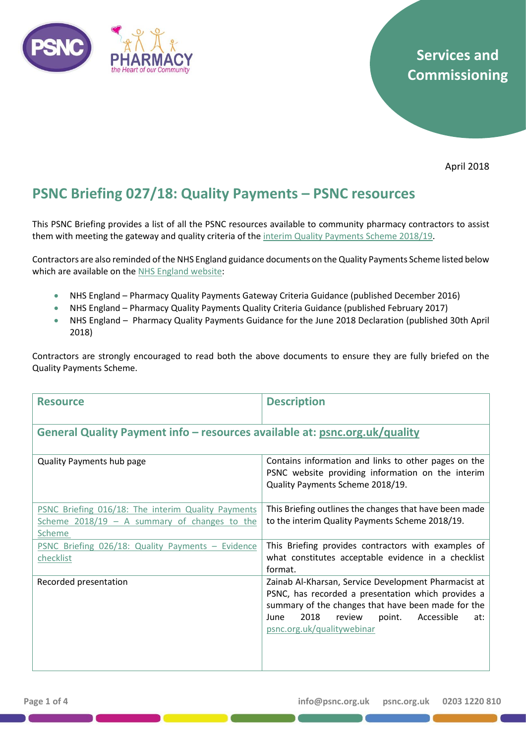

# **Services and Commissioning**

April 2018

## **PSNC Briefing 027/18: Quality Payments – PSNC resources**

This PSNC Briefing provides a list of all the PSNC resources available to community pharmacy contractors to assist them with meeting the gateway and quality criteria of the interim [Quality Payments Scheme](http://psnc.org.uk/services-commissioning/essential-services/quality-payments/) 2018/19.

Contractors are also reminded of the NHS England guidance documents on the Quality Payments Scheme listed below which are available on the NHS [England website:](https://www.england.nhs.uk/commissioning/primary-care-comm/pharmacy/framework-1618/pqp/)

- NHS England Pharmacy Quality Payments Gateway Criteria Guidance (published December 2016)
- NHS England Pharmacy Quality Payments Quality Criteria Guidance (published February 2017)
- NHS England Pharmacy Quality Payments Guidance for the June 2018 Declaration (published 30th April 2018)

Contractors are strongly encouraged to read both the above documents to ensure they are fully briefed on the Quality Payments Scheme.

| <b>Resource</b>                                                                                                | <b>Description</b>                                                                                                                                                                                                                                      |
|----------------------------------------------------------------------------------------------------------------|---------------------------------------------------------------------------------------------------------------------------------------------------------------------------------------------------------------------------------------------------------|
| General Quality Payment info - resources available at: psnc.org.uk/quality                                     |                                                                                                                                                                                                                                                         |
| <b>Quality Payments hub page</b>                                                                               | Contains information and links to other pages on the<br>PSNC website providing information on the interim<br>Quality Payments Scheme 2018/19.                                                                                                           |
| PSNC Briefing 016/18: The interim Quality Payments<br>Scheme $2018/19$ – A summary of changes to the<br>Scheme | This Briefing outlines the changes that have been made<br>to the interim Quality Payments Scheme 2018/19.                                                                                                                                               |
| PSNC Briefing 026/18: Quality Payments - Evidence<br>checklist                                                 | This Briefing provides contractors with examples of<br>what constitutes acceptable evidence in a checklist<br>format.                                                                                                                                   |
| Recorded presentation                                                                                          | Zainab Al-Kharsan, Service Development Pharmacist at<br>PSNC, has recorded a presentation which provides a<br>summary of the changes that have been made for the<br>2018<br>review<br>point.<br>Accessible<br>June<br>at:<br>psnc.org.uk/qualitywebinar |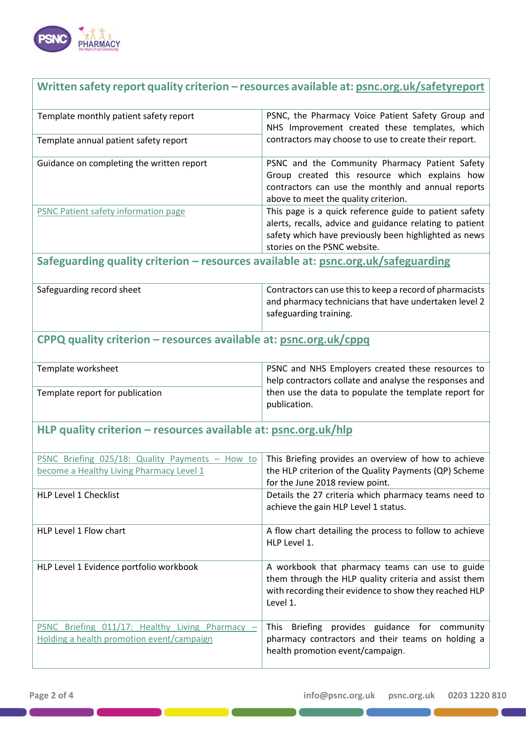

#### **Written safety report quality criterion – resources available at: [psnc.org.uk/safetyreport](http://www.psnc.org.uk/safetyreport)**

| Template monthly patient safety report    | PSNC, the Pharmacy Voice Patient Safety Group and<br>NHS Improvement created these templates, which                                                                                                           |
|-------------------------------------------|---------------------------------------------------------------------------------------------------------------------------------------------------------------------------------------------------------------|
| Template annual patient safety report     | contractors may choose to use to create their report.                                                                                                                                                         |
| Guidance on completing the written report | PSNC and the Community Pharmacy Patient Safety<br>Group created this resource which explains how<br>contractors can use the monthly and annual reports<br>above to meet the quality criterion.                |
| PSNC Patient safety information page      | This page is a quick reference guide to patient safety<br>alerts, recalls, advice and guidance relating to patient  <br>safety which have previously been highlighted as news<br>stories on the PSNC website. |

## **Safeguarding quality criterion – resources available at: [psnc.org.uk/safeguarding](http://www.psnc.org.uk/safeguarding)**

| Safeguarding record sheet | Contractors can use this to keep a record of pharmacists |
|---------------------------|----------------------------------------------------------|
|                           | and pharmacy technicians that have undertaken level 2    |
|                           | safeguarding training.                                   |

#### **CPPQ quality criterion – resources available at: [psnc.org.uk/cppq](http://www.psnc.org.uk/cppq)**

| Template worksheet              | <b>PSNC and NHS Employers created these resources to</b>              |
|---------------------------------|-----------------------------------------------------------------------|
|                                 | help contractors collate and analyse the responses and                |
| Template report for publication | then use the data to populate the template report for<br>publication. |

## **HLP quality criterion – resources available at: [psnc.org.uk/hlp](http://www.psnc.org.uk/hlp)**

| PSNC Briefing 025/18: Quality Payments<br>How to<br>become a Healthy Living Pharmacy Level 1 | This Briefing provides an overview of how to achieve<br>the HLP criterion of the Quality Payments (QP) Scheme<br>for the June 2018 review point.                               |
|----------------------------------------------------------------------------------------------|--------------------------------------------------------------------------------------------------------------------------------------------------------------------------------|
| <b>HLP Level 1 Checklist</b>                                                                 | Details the 27 criteria which pharmacy teams need to<br>achieve the gain HLP Level 1 status.                                                                                   |
| HLP Level 1 Flow chart                                                                       | A flow chart detailing the process to follow to achieve<br>HLP Level 1.                                                                                                        |
| HLP Level 1 Evidence portfolio workbook                                                      | A workbook that pharmacy teams can use to guide<br>them through the HLP quality criteria and assist them<br>with recording their evidence to show they reached HLP<br>Level 1. |
| PSNC Briefing 011/17: Healthy Living Pharmacy<br>Holding a health promotion event/campaign   | Briefing provides guidance for community<br><b>This</b><br>pharmacy contractors and their teams on holding a<br>health promotion event/campaign.                               |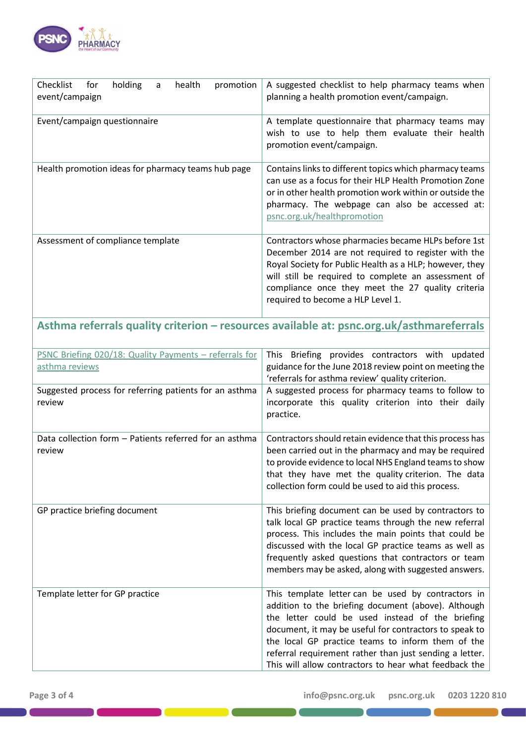

| holding<br>Checklist<br>health<br>for<br>promotion<br>a<br>event/campaign | A suggested checklist to help pharmacy teams when<br>planning a health promotion event/campaign.                                                                                                                                                                                                                       |
|---------------------------------------------------------------------------|------------------------------------------------------------------------------------------------------------------------------------------------------------------------------------------------------------------------------------------------------------------------------------------------------------------------|
| Event/campaign questionnaire                                              | A template questionnaire that pharmacy teams may<br>wish to use to help them evaluate their health<br>promotion event/campaign.                                                                                                                                                                                        |
| Health promotion ideas for pharmacy teams hub page                        | Contains links to different topics which pharmacy teams<br>can use as a focus for their HLP Health Promotion Zone<br>or in other health promotion work within or outside the<br>pharmacy. The webpage can also be accessed at:<br>psnc.org.uk/healthpromotion                                                          |
| Assessment of compliance template                                         | Contractors whose pharmacies became HLPs before 1st<br>December 2014 are not required to register with the<br>Royal Society for Public Health as a HLP; however, they<br>will still be required to complete an assessment of<br>compliance once they meet the 27 quality criteria<br>required to become a HLP Level 1. |

# **Asthma referrals quality criterion – resources available at: [psnc.org.uk/asthmareferrals](http://www.psnc.org.uk/asthmareferrals)**

| PSNC Briefing 020/18: Quality Payments - referrals for<br>asthma reviews | This Briefing provides contractors with updated<br>guidance for the June 2018 review point on meeting the<br>'referrals for asthma review' quality criterion.                                                                                                                                                                                                                                    |
|--------------------------------------------------------------------------|--------------------------------------------------------------------------------------------------------------------------------------------------------------------------------------------------------------------------------------------------------------------------------------------------------------------------------------------------------------------------------------------------|
| Suggested process for referring patients for an asthma<br>review         | A suggested process for pharmacy teams to follow to<br>incorporate this quality criterion into their daily<br>practice.                                                                                                                                                                                                                                                                          |
| Data collection form - Patients referred for an asthma<br>review         | Contractors should retain evidence that this process has<br>been carried out in the pharmacy and may be required<br>to provide evidence to local NHS England teams to show<br>that they have met the quality criterion. The data<br>collection form could be used to aid this process.                                                                                                           |
| GP practice briefing document                                            | This briefing document can be used by contractors to<br>talk local GP practice teams through the new referral<br>process. This includes the main points that could be<br>discussed with the local GP practice teams as well as<br>frequently asked questions that contractors or team<br>members may be asked, along with suggested answers.                                                     |
| Template letter for GP practice                                          | This template letter can be used by contractors in<br>addition to the briefing document (above). Although<br>the letter could be used instead of the briefing<br>document, it may be useful for contractors to speak to<br>the local GP practice teams to inform them of the<br>referral requirement rather than just sending a letter.<br>This will allow contractors to hear what feedback the |